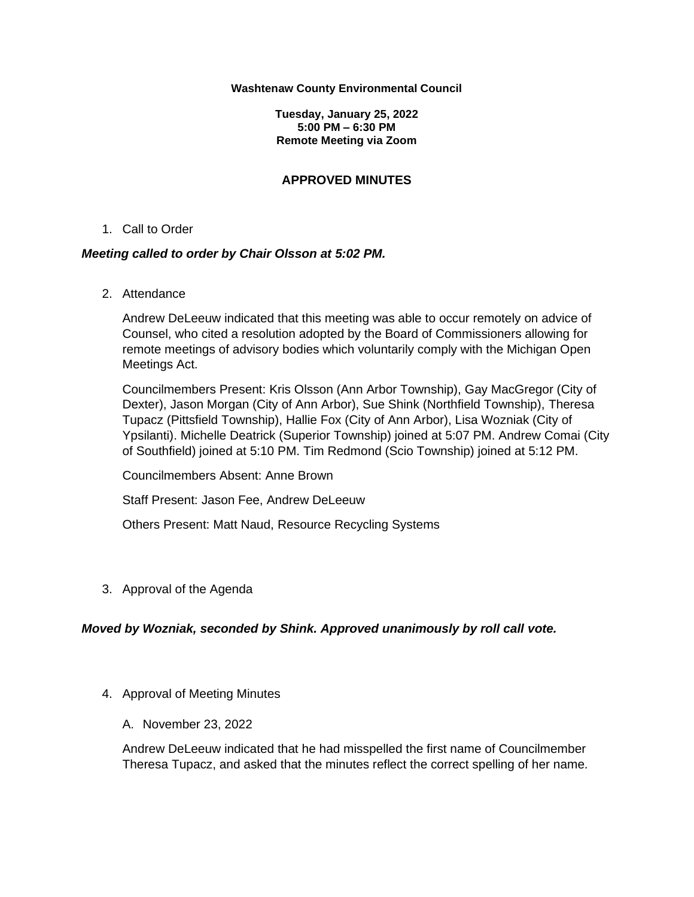#### **Washtenaw County Environmental Council**

**Tuesday, January 25, 2022 5:00 PM – 6:30 PM Remote Meeting via Zoom**

## **APPROVED MINUTES**

1. Call to Order

## *Meeting called to order by Chair Olsson at 5:02 PM.*

2. Attendance

Andrew DeLeeuw indicated that this meeting was able to occur remotely on advice of Counsel, who cited a resolution adopted by the Board of Commissioners allowing for remote meetings of advisory bodies which voluntarily comply with the Michigan Open Meetings Act.

Councilmembers Present: Kris Olsson (Ann Arbor Township), Gay MacGregor (City of Dexter), Jason Morgan (City of Ann Arbor), Sue Shink (Northfield Township), Theresa Tupacz (Pittsfield Township), Hallie Fox (City of Ann Arbor), Lisa Wozniak (City of Ypsilanti). Michelle Deatrick (Superior Township) joined at 5:07 PM. Andrew Comai (City of Southfield) joined at 5:10 PM. Tim Redmond (Scio Township) joined at 5:12 PM.

Councilmembers Absent: Anne Brown

Staff Present: Jason Fee, Andrew DeLeeuw

Others Present: Matt Naud, Resource Recycling Systems

3. Approval of the Agenda

## *Moved by Wozniak, seconded by Shink. Approved unanimously by roll call vote.*

- 4. Approval of Meeting Minutes
	- A. November 23, 2022

Andrew DeLeeuw indicated that he had misspelled the first name of Councilmember Theresa Tupacz, and asked that the minutes reflect the correct spelling of her name.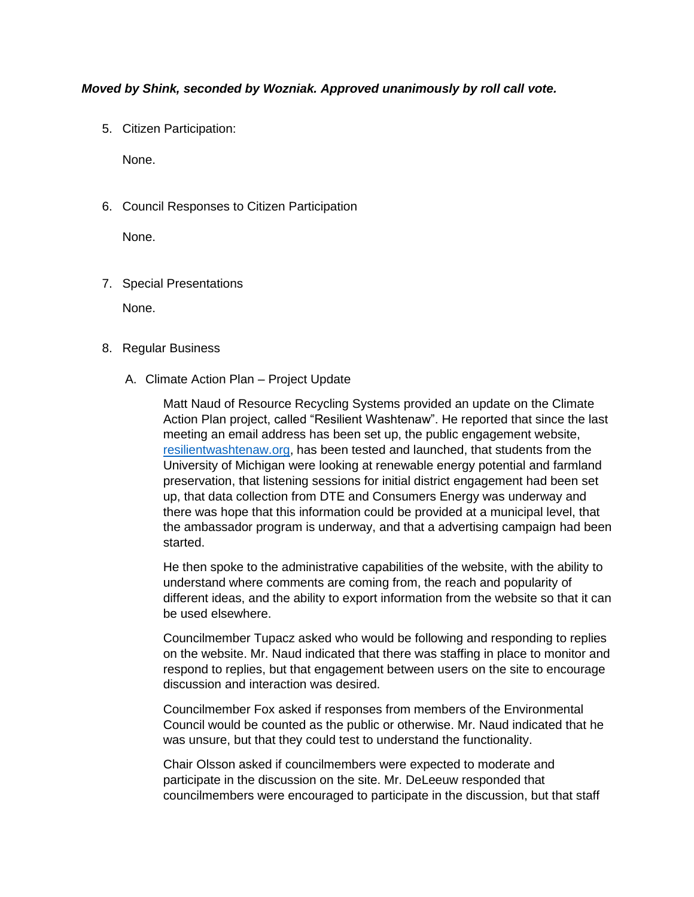## *Moved by Shink, seconded by Wozniak. Approved unanimously by roll call vote.*

5. Citizen Participation:

None.

6. Council Responses to Citizen Participation

None.

7. Special Presentations

None.

- 8. Regular Business
	- A. Climate Action Plan Project Update

Matt Naud of Resource Recycling Systems provided an update on the Climate Action Plan project, called "Resilient Washtenaw". He reported that since the last meeting an email address has been set up, the public engagement website, [resilientwashtenaw.org,](https://www.resilientwashtenaw.org/) has been tested and launched, that students from the University of Michigan were looking at renewable energy potential and farmland preservation, that listening sessions for initial district engagement had been set up, that data collection from DTE and Consumers Energy was underway and there was hope that this information could be provided at a municipal level, that the ambassador program is underway, and that a advertising campaign had been started.

He then spoke to the administrative capabilities of the website, with the ability to understand where comments are coming from, the reach and popularity of different ideas, and the ability to export information from the website so that it can be used elsewhere.

Councilmember Tupacz asked who would be following and responding to replies on the website. Mr. Naud indicated that there was staffing in place to monitor and respond to replies, but that engagement between users on the site to encourage discussion and interaction was desired.

Councilmember Fox asked if responses from members of the Environmental Council would be counted as the public or otherwise. Mr. Naud indicated that he was unsure, but that they could test to understand the functionality.

Chair Olsson asked if councilmembers were expected to moderate and participate in the discussion on the site. Mr. DeLeeuw responded that councilmembers were encouraged to participate in the discussion, but that staff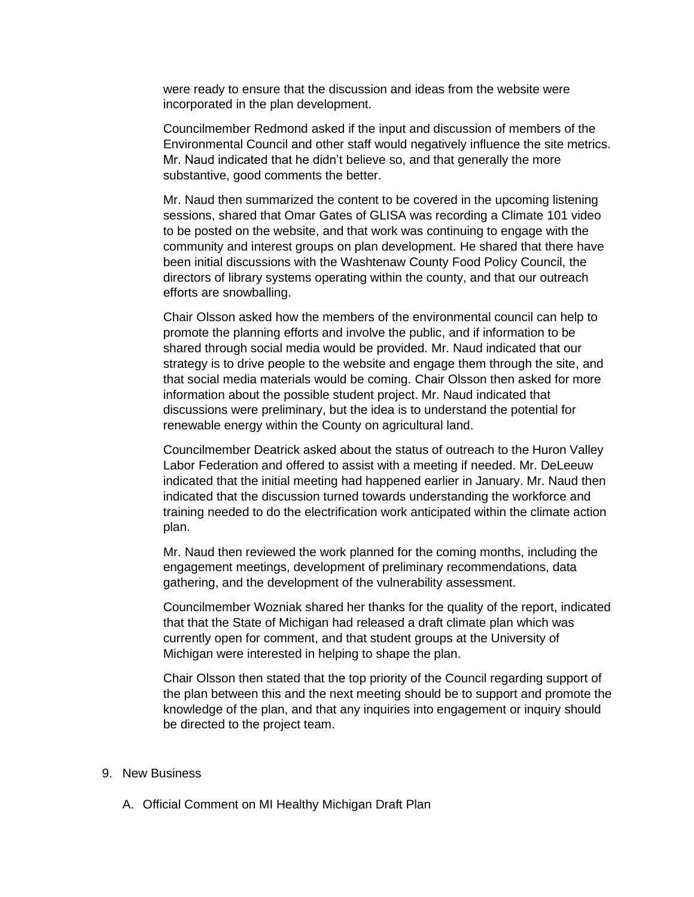were ready to ensure that the discussion and ideas from the website were incorporated in the plan development.

Councilmember Redmond asked if the input and discussion of members of the Environmental Council and other staff would negatively influence the site metrics. Mr. Naud indicated that he didn't believe so, and that generally the more substantive, good comments the better.

Mr. Naud then summarized the content to be covered in the upcoming listening sessions, shared that Omar Gates of GLISA was recording a Climate 101 video to be posted on the website, and that work was continuing to engage with the community and interest groups on plan development. He shared that there have been initial discussions with the Washtenaw County Food Policy Council, the directors of library systems operating within the county, and that our outreach efforts are snowballing.

Chair Olsson asked how the members of the environmental council can help to promote the planning efforts and involve the public, and if information to be shared through social media would be provided. Mr. Naud indicated that our strategy is to drive people to the website and engage them through the site, and that social media materials would be coming. Chair Olsson then asked for more information about the possible student project. Mr. Naud indicated that discussions were preliminary, but the idea is to understand the potential for renewable energy within the County on agricultural land.

Councilmember Deatrick asked about the status of outreach to the Huron Valley Labor Federation and offered to assist with a meeting if needed. Mr. DeLeeuw indicated that the initial meeting had happened earlier in January. Mr. Naud then indicated that the discussion turned towards understanding the workforce and training needed to do the electrification work anticipated within the climate action plan.

Mr. Naud then reviewed the work planned for the coming months, including the engagement meetings, development of preliminary recommendations, data gathering, and the development of the vulnerability assessment.

Councilmember Wozniak shared her thanks for the quality of the report, indicated that that the State of Michigan had released a draft climate plan which was currently open for comment, and that student groups at the University of Michigan were interested in helping to shape the plan.

Chair Olsson then stated that the top priority of the Council regarding support of the plan between this and the next meeting should be to support and promote the knowledge of the plan, and that any inquiries into engagement or inquiry should be directed to the project team.

## 9. New Business

A. Official Comment on MI Healthy Michigan Draft Plan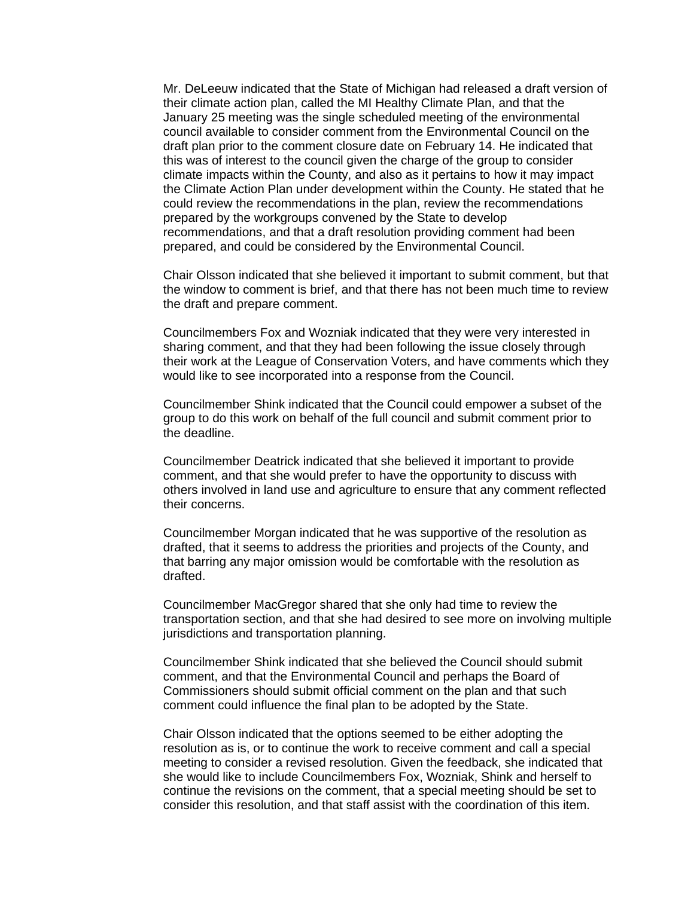Mr. DeLeeuw indicated that the State of Michigan had released a draft version of their climate action plan, called the MI Healthy Climate Plan, and that the January 25 meeting was the single scheduled meeting of the environmental council available to consider comment from the Environmental Council on the draft plan prior to the comment closure date on February 14. He indicated that this was of interest to the council given the charge of the group to consider climate impacts within the County, and also as it pertains to how it may impact the Climate Action Plan under development within the County. He stated that he could review the recommendations in the plan, review the recommendations prepared by the workgroups convened by the State to develop recommendations, and that a draft resolution providing comment had been prepared, and could be considered by the Environmental Council.

Chair Olsson indicated that she believed it important to submit comment, but that the window to comment is brief, and that there has not been much time to review the draft and prepare comment.

Councilmembers Fox and Wozniak indicated that they were very interested in sharing comment, and that they had been following the issue closely through their work at the League of Conservation Voters, and have comments which they would like to see incorporated into a response from the Council.

Councilmember Shink indicated that the Council could empower a subset of the group to do this work on behalf of the full council and submit comment prior to the deadline.

Councilmember Deatrick indicated that she believed it important to provide comment, and that she would prefer to have the opportunity to discuss with others involved in land use and agriculture to ensure that any comment reflected their concerns.

Councilmember Morgan indicated that he was supportive of the resolution as drafted, that it seems to address the priorities and projects of the County, and that barring any major omission would be comfortable with the resolution as drafted.

Councilmember MacGregor shared that she only had time to review the transportation section, and that she had desired to see more on involving multiple jurisdictions and transportation planning.

Councilmember Shink indicated that she believed the Council should submit comment, and that the Environmental Council and perhaps the Board of Commissioners should submit official comment on the plan and that such comment could influence the final plan to be adopted by the State.

Chair Olsson indicated that the options seemed to be either adopting the resolution as is, or to continue the work to receive comment and call a special meeting to consider a revised resolution. Given the feedback, she indicated that she would like to include Councilmembers Fox, Wozniak, Shink and herself to continue the revisions on the comment, that a special meeting should be set to consider this resolution, and that staff assist with the coordination of this item.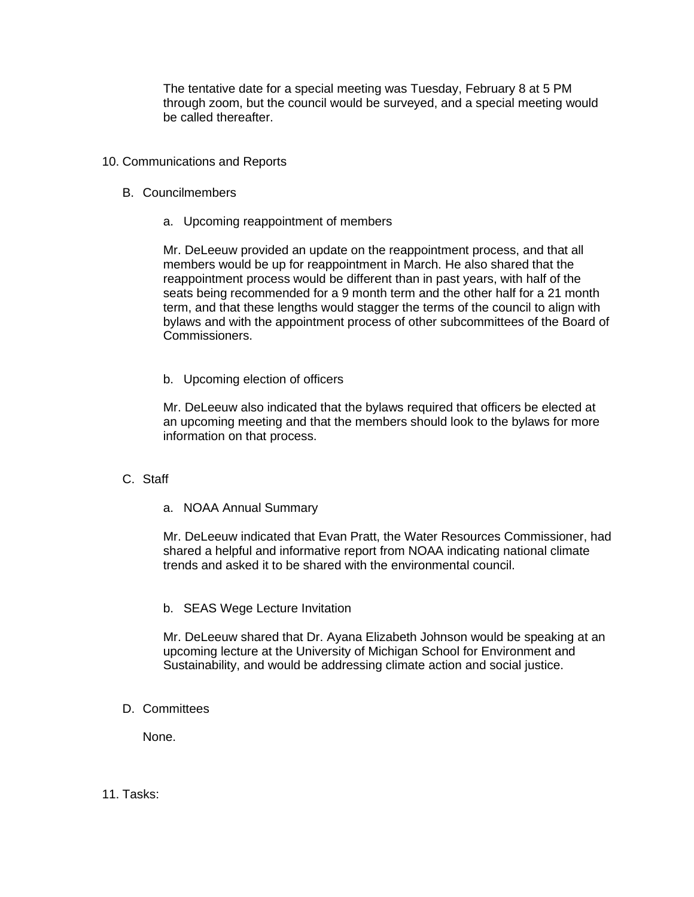The tentative date for a special meeting was Tuesday, February 8 at 5 PM through zoom, but the council would be surveyed, and a special meeting would be called thereafter.

- 10. Communications and Reports
	- B. Councilmembers
		- a. Upcoming reappointment of members

Mr. DeLeeuw provided an update on the reappointment process, and that all members would be up for reappointment in March. He also shared that the reappointment process would be different than in past years, with half of the seats being recommended for a 9 month term and the other half for a 21 month term, and that these lengths would stagger the terms of the council to align with bylaws and with the appointment process of other subcommittees of the Board of Commissioners.

b. Upcoming election of officers

Mr. DeLeeuw also indicated that the bylaws required that officers be elected at an upcoming meeting and that the members should look to the bylaws for more information on that process.

## C. Staff

a. NOAA Annual Summary

Mr. DeLeeuw indicated that Evan Pratt, the Water Resources Commissioner, had shared a helpful and informative report from NOAA indicating national climate trends and asked it to be shared with the environmental council.

b. SEAS Wege Lecture Invitation

Mr. DeLeeuw shared that Dr. Ayana Elizabeth Johnson would be speaking at an upcoming lecture at the University of Michigan School for Environment and Sustainability, and would be addressing climate action and social justice.

D. Committees

None.

11. Tasks: